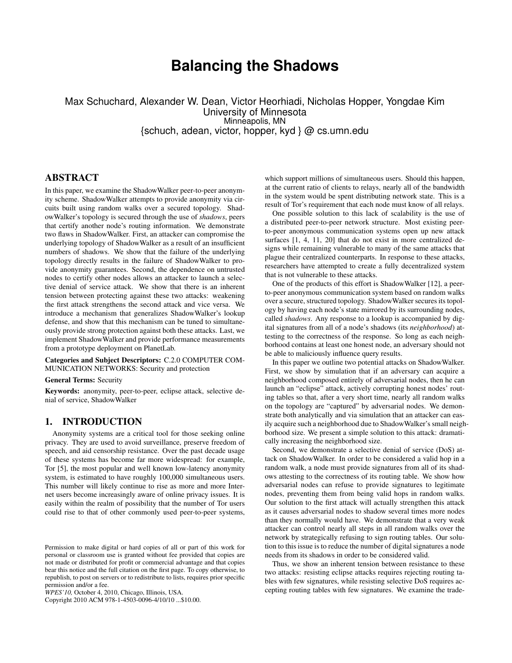# **Balancing the Shadows**

Max Schuchard, Alexander W. Dean, Victor Heorhiadi, Nicholas Hopper, Yongdae Kim University of Minnesota Minneapolis, MN {schuch, adean, victor, hopper, kyd } @ cs.umn.edu

# ABSTRACT

In this paper, we examine the ShadowWalker peer-to-peer anonymity scheme. ShadowWalker attempts to provide anonymity via circuits built using random walks over a secured topology. ShadowWalker's topology is secured through the use of *shadows*, peers that certify another node's routing information. We demonstrate two flaws in ShadowWalker. First, an attacker can compromise the underlying topology of ShadowWalker as a result of an insufficient numbers of shadows. We show that the failure of the underlying topology directly results in the failure of ShadowWalker to provide anonymity guarantees. Second, the dependence on untrusted nodes to certify other nodes allows an attacker to launch a selective denial of service attack. We show that there is an inherent tension between protecting against these two attacks: weakening the first attack strengthens the second attack and vice versa. We introduce a mechanism that generalizes ShadowWalker's lookup defense, and show that this mechanism can be tuned to simultaneously provide strong protection against both these attacks. Last, we implement ShadowWalker and provide performance measurements from a prototype deployment on PlanetLab.

Categories and Subject Descriptors: C.2.0 COMPUTER COM-MUNICATION NETWORKS: Security and protection

#### General Terms: Security

Keywords: anonymity, peer-to-peer, eclipse attack, selective denial of service, ShadowWalker

# 1. INTRODUCTION

Anonymity systems are a critical tool for those seeking online privacy. They are used to avoid surveillance, preserve freedom of speech, and aid censorship resistance. Over the past decade usage of these systems has become far more widespread: for example, Tor [5], the most popular and well known low-latency anonymity system, is estimated to have roughly 100,000 simultaneous users. This number will likely continue to rise as more and more Internet users become increasingly aware of online privacy issues. It is easily within the realm of possibility that the number of Tor users could rise to that of other commonly used peer-to-peer systems,

Copyright 2010 ACM 978-1-4503-0096-4/10/10 ...\$10.00.

which support millions of simultaneous users. Should this happen, at the current ratio of clients to relays, nearly all of the bandwidth in the system would be spent distributing network state. This is a result of Tor's requirement that each node must know of all relays.

One possible solution to this lack of scalability is the use of a distributed peer-to-peer network structure. Most existing peerto-peer anonymous communication systems open up new attack surfaces [1, 4, 11, 20] that do not exist in more centralized designs while remaining vulnerable to many of the same attacks that plague their centralized counterparts. In response to these attacks, researchers have attempted to create a fully decentralized system that is not vulnerable to these attacks.

One of the products of this effort is ShadowWalker [12], a peerto-peer anonymous communication system based on random walks over a secure, structured topology. ShadowWalker secures its topology by having each node's state mirrored by its surrounding nodes, called *shadows*. Any response to a lookup is accompanied by digital signatures from all of a node's shadows (its *neighborhood*) attesting to the correctness of the response. So long as each neighborhood contains at least one honest node, an adversary should not be able to maliciously influence query results.

In this paper we outline two potential attacks on ShadowWalker. First, we show by simulation that if an adversary can acquire a neighborhood composed entirely of adversarial nodes, then he can launch an "eclipse" attack, actively corrupting honest nodes' routing tables so that, after a very short time, nearly all random walks on the topology are "captured" by adversarial nodes. We demonstrate both analytically and via simulation that an attacker can easily acquire such a neighborhood due to ShadowWalker's small neighborhood size. We present a simple solution to this attack: dramatically increasing the neighborhood size.

Second, we demonstrate a selective denial of service (DoS) attack on ShadowWalker. In order to be considered a valid hop in a random walk, a node must provide signatures from all of its shadows attesting to the correctness of its routing table. We show how adversarial nodes can refuse to provide signatures to legitimate nodes, preventing them from being valid hops in random walks. Our solution to the first attack will actually strengthen this attack as it causes adversarial nodes to shadow several times more nodes than they normally would have. We demonstrate that a very weak attacker can control nearly all steps in all random walks over the network by strategically refusing to sign routing tables. Our solution to this issue is to reduce the number of digital signatures a node needs from its shadows in order to be considered valid.

Thus, we show an inherent tension between resistance to these two attacks: resisting eclipse attacks requires rejecting routing tables with few signatures, while resisting selective DoS requires accepting routing tables with few signatures. We examine the trade-

Permission to make digital or hard copies of all or part of this work for personal or classroom use is granted without fee provided that copies are not made or distributed for profit or commercial advantage and that copies bear this notice and the full citation on the first page. To copy otherwise, to republish, to post on servers or to redistribute to lists, requires prior specific permission and/or a fee.

*WPES'10,* October 4, 2010, Chicago, Illinois, USA.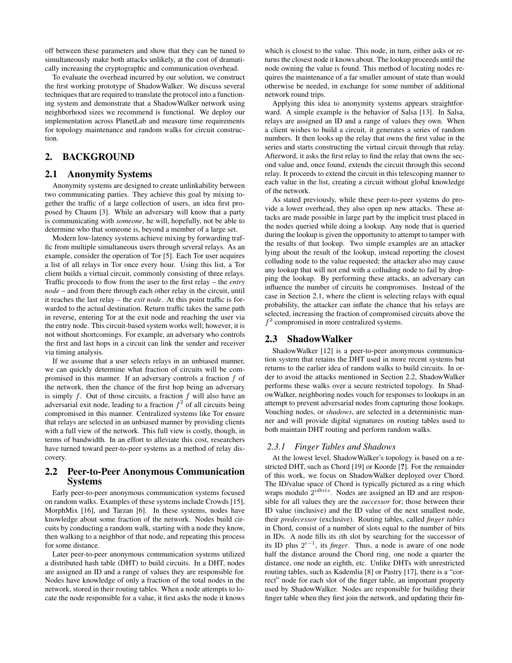off between these parameters and show that they can be tuned to simultaneously make both attacks unlikely, at the cost of dramatically increasing the cryptographic and communication overhead.

To evaluate the overhead incurred by our solution, we construct the first working prototype of ShadowWalker. We discuss several techniques that are required to translate the protocol into a functioning system and demonstrate that a ShadowWalker network using neighborhood sizes we recommend is functional. We deploy our implementation across PlanetLab and measure time requirements for topology maintenance and random walks for circuit construction.

# 2. BACKGROUND

## 2.1 Anonymity Systems

Anonymity systems are designed to create unlinkability between two communicating parties. They achieve this goal by mixing together the traffic of a large collection of users, an idea first proposed by Chaum [3]. While an adversary will know that a party is communicating with *someone*, he will, hopefully, not be able to determine who that someone is, beyond a member of a large set.

Modern low-latency systems achieve mixing by forwarding traffic from multiple simultaneous users through several relays. As an example, consider the operation of Tor [5]. Each Tor user acquires a list of all relays in Tor once every hour. Using this list, a Tor client builds a virtual circuit, commonly consisting of three relays. Traffic proceeds to flow from the user to the first relay – the *entry node* – and from there through each other relay in the circuit, until it reaches the last relay – the *exit node*. At this point traffic is forwarded to the actual destination. Return traffic takes the same path in reverse, entering Tor at the exit node and reaching the user via the entry node. This circuit-based system works well; however, it is not without shortcomings. For example, an adversary who controls the first and last hops in a circuit can link the sender and receiver via timing analysis.

If we assume that a user selects relays in an unbiased manner, we can quickly determine what fraction of circuits will be compromised in this manner. If an adversary controls a fraction  $f$  of the network, then the chance of the first hop being an adversary is simply  $f$ . Out of those circuits, a fraction  $f$  will also have an adversarial exit node, leading to a fraction  $f^2$  of all circuits being compromised in this manner. Centralized systems like Tor ensure that relays are selected in an unbiased manner by providing clients with a full view of the network. This full view is costly, though, in terms of bandwidth. In an effort to alleviate this cost, researchers have turned toward peer-to-peer systems as a method of relay discovery.

# 2.2 Peer-to-Peer Anonymous Communication Systems

Early peer-to-peer anonymous communication systems focused on random walks. Examples of these systems include Crowds [15], MorphMix [16], and Tarzan [6]. In these systems, nodes have knowledge about some fraction of the network. Nodes build circuits by conducting a random walk, starting with a node they know, then walking to a neighbor of that node, and repeating this process for some distance.

Later peer-to-peer anonymous communication systems utilized a distributed hash table (DHT) to build circuits. In a DHT, nodes are assigned an ID and a range of values they are responsible for. Nodes have knowledge of only a fraction of the total nodes in the network, stored in their routing tables. When a node attempts to locate the node responsible for a value, it first asks the node it knows

which is closest to the value. This node, in turn, either asks or returns the closest node it knows about. The lookup proceeds until the node owning the value is found. This method of locating nodes requires the maintenance of a far smaller amount of state than would otherwise be needed, in exchange for some number of additional network round trips.

Applying this idea to anonymity systems appears straightforward. A simple example is the behavior of Salsa [13]. In Salsa, relays are assigned an ID and a range of values they own. When a client wishes to build a circuit, it generates a series of random numbers. It then looks up the relay that owns the first value in the series and starts constructing the virtual circuit through that relay. Afterword, it asks the first relay to find the relay that owns the second value and, once found, extends the circuit through this second relay. It proceeds to extend the circuit in this telescoping manner to each value in the list, creating a circuit without global knowledge of the network.

As stated previously, while these peer-to-peer systems do provide a lower overhead, they also open up new attacks. These attacks are made possible in large part by the implicit trust placed in the nodes queried while doing a lookup. Any node that is queried during the lookup is given the opportunity to attempt to tamper with the results of that lookup. Two simple examples are an attacker lying about the result of the lookup, instead reporting the closest colluding node to the value requested; the attacker also may cause any lookup that will not end with a colluding node to fail by dropping the lookup. By performing these attacks, an adversary can influence the number of circuits he compromises. Instead of the case in Section 2.1, where the client is selecting relays with equal probability, the attacker can inflate the chance that his relays are selected, increasing the fraction of compromised circuits above the  $f<sup>2</sup>$  compromised in more centralized systems.

# 2.3 ShadowWalker

ShadowWalker [12] is a peer-to-peer anonymous communication system that retains the DHT used in more recent systems but returns to the earlier idea of random walks to build circuits. In order to avoid the attacks mentioned in Section 2.2, ShadowWalker performs these walks over a secure restricted topology. In ShadowWalker, neighboring nodes vouch for responses to lookups in an attempt to prevent adversarial nodes from capturing those lookups. Vouching nodes, or *shadows*, are selected in a deterministic manner and will provide digital signatures on routing tables used to both maintain DHT routing and perform random walks.

## *2.3.1 Finger Tables and Shadows*

At the lowest level, ShadowWalker's topology is based on a restricted DHT, such as Chord [19] or Koorde [?]. For the remainder of this work, we focus on ShadowWalker deployed over Chord. The ID/value space of Chord is typically pictured as a ring which wraps modulo  $2^{idbits}$ . Nodes are assigned an ID and are responsible for all values they are the *successor* for; those between their ID value (inclusive) and the ID value of the next smallest node, their *predecessor* (exclusive). Routing tables, called *finger tables* in Chord, consist of a number of slots equal to the number of bits in IDs. A node fills its ith slot by searching for the successor of its ID plus  $2^{i-1}$ , its *finger*. Thus, a node is aware of one node half the distance around the Chord ring, one node a quarter the distance, one node an eighth, etc. Unlike DHTs with unrestricted routing tables, such as Kademlia [8] or Pastry [17], there is a "correct" node for each slot of the finger table, an important property used by ShadowWalker. Nodes are responsible for building their finger table when they first join the network, and updating their fin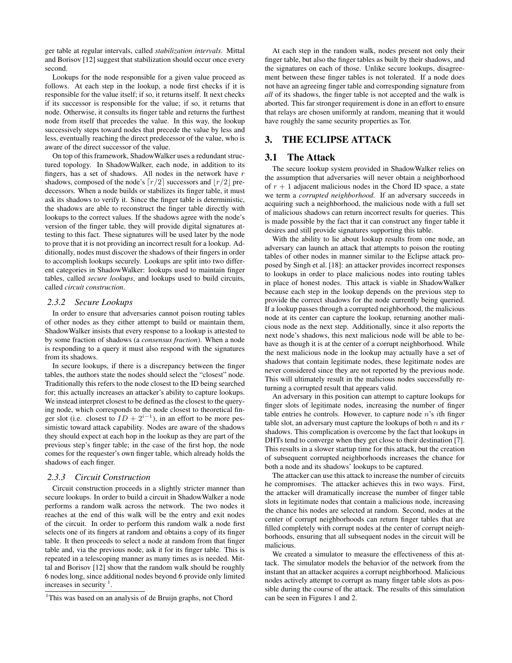ger table at regular intervals, called *stabilization intervals*. Mittal and Borisov [12] suggest that stabilization should occur once every second.

Lookups for the node responsible for a given value proceed as follows. At each step in the lookup, a node first checks if it is responsible for the value itself; if so, it returns itself. It next checks if its successor is responsible for the value; if so, it returns that node. Otherwise, it consults its finger table and returns the furthest node from itself that precedes the value. In this way, the lookup successively steps toward nodes that precede the value by less and less, eventually reaching the direct predecessor of the value, who is aware of the direct successor of the value.

On top of this framework, ShadowWalker uses a redundant structured topology. In ShadowWalker, each node, in addition to its fingers, has a set of shadows. All nodes in the network have  $r$ shadows, composed of the node's  $\lceil r/2 \rceil$  successors and  $\lceil r/2 \rceil$  predecessors. When a node builds or stabilizes its finger table, it must ask its shadows to verify it. Since the finger table is deterministic, the shadows are able to reconstruct the finger table directly with lookups to the correct values. If the shadows agree with the node's version of the finger table, they will provide digital signatures attesting to this fact. These signatures will be used later by the node to prove that it is not providing an incorrect result for a lookup. Additionally, nodes must discover the shadows of their fingers in order to accomplish lookups securely. Lookups are split into two different categories in ShadowWalker: lookups used to maintain finger tables, called *secure lookups*, and lookups used to build circuits, called *circuit construction*.

#### *2.3.2 Secure Lookups*

In order to ensure that adversaries cannot poison routing tables of other nodes as they either attempt to build or maintain them, ShadowWalker insists that every response to a lookup is attested to by some fraction of shadows (a *consensus fraction*). When a node is responding to a query it must also respond with the signatures from its shadows.

In secure lookups, if there is a discrepancy between the finger tables, the authors state the nodes should select the "closest" node. Traditionally this refers to the node closest to the ID being searched for; this actually increases an attacker's ability to capture lookups. We instead interpret closest to be defined as the closest to the querying node, which corresponds to the node closest to theoretical finger slot (i.e. closest to  $ID + 2^{i-1}$ ), in an effort to be more pessimistic toward attack capability. Nodes are aware of the shadows they should expect at each hop in the lookup as they are part of the previous step's finger table; in the case of the first hop, the node comes for the requester's own finger table, which already holds the shadows of each finger.

#### *2.3.3 Circuit Construction*

Circuit construction proceeds in a slightly stricter manner than secure lookups. In order to build a circuit in ShadowWalker a node performs a random walk across the network. The two nodes it reaches at the end of this walk will be the entry and exit nodes of the circuit. In order to perform this random walk a node first selects one of its fingers at random and obtains a copy of its finger table. It then proceeds to select a node at random from that finger table and, via the previous node, ask it for its finger table. This is repeated in a telescoping manner as many times as is needed. Mittal and Borisov [12] show that the random walk should be roughly 6 nodes long, since additional nodes beyond 6 provide only limited increases in security  $1$ .

At each step in the random walk, nodes present not only their finger table, but also the finger tables as built by their shadows, and the signatures on each of those. Unlike secure lookups, disagreement between these finger tables is not tolerated. If a node does not have an agreeing finger table and corresponding signature from *all* of its shadows, the finger table is not accepted and the walk is aborted. This far stronger requirement is done in an effort to ensure that relays are chosen uniformly at random, meaning that it would have roughly the same security properties as Tor.

# 3. THE ECLIPSE ATTACK

# 3.1 The Attack

The secure lookup system provided in ShadowWalker relies on the assumption that adversaries will never obtain a neighborhood of  $r + 1$  adjacent malicious nodes in the Chord ID space, a state we term a *corrupted neighborhood*. If an adversary succeeds in acquiring such a neighborhood, the malicious node with a full set of malicious shadows can return incorrect results for queries. This is made possible by the fact that it can construct any finger table it desires and still provide signatures supporting this table.

With the ability to lie about lookup results from one node, an adversary can launch an attack that attempts to poison the routing tables of other nodes in manner similar to the Eclipse attack proposed by Singh et al. [18]: an attacker provides incorrect responses to lookups in order to place malicious nodes into routing tables in place of honest nodes. This attack is viable in ShadowWalker because each step in the lookup depends on the previous step to provide the correct shadows for the node currently being queried. If a lookup passes through a corrupted neighborhood, the malicious node at its center can capture the lookup, returning another malicious node as the next step. Additionally, since it also reports the next node's shadows, this next malicious node will be able to behave as though it is at the center of a corrupt neighborhood. While the next malicious node in the lookup may actually have a set of shadows that contain legitimate nodes, these legitimate nodes are never considered since they are not reported by the previous node. This will ultimately result in the malicious nodes successfully returning a corrupted result that appears valid.

An adversary in this position can attempt to capture lookups for finger slots of legitimate nodes, increasing the number of finger table entries he controls. However, to capture node  $n$ 's *i*th finger table slot, an adversary must capture the lookups of both  $n$  and its  $r$ shadows. This complication is overcome by the fact that lookups in DHTs tend to converge when they get close to their destination [7]. This results in a slower startup time for this attack, but the creation of subsequent corrupted neighborhoods increases the chance for both a node and its shadows' lookups to be captured.

The attacker can use this attack to increase the number of circuits he compromises. The attacker achieves this in two ways. First, the attacker will dramatically increase the number of finger table slots in legitimate nodes that contain a malicious node, increasing the chance his nodes are selected at random. Second, nodes at the center of corrupt neighborhoods can return finger tables that are filled completely with corrupt nodes at the center of corrupt neighborhoods, ensuring that all subsequent nodes in the circuit will be malicious.

We created a simulator to measure the effectiveness of this attack. The simulator models the behavior of the network from the instant that an attacker acquires a corrupt neighborhood. Malicious nodes actively attempt to corrupt as many finger table slots as possible during the course of the attack. The results of this simulation can be seen in Figures 1 and 2.

<sup>&</sup>lt;sup>1</sup>This was based on an analysis of de Bruijn graphs, not Chord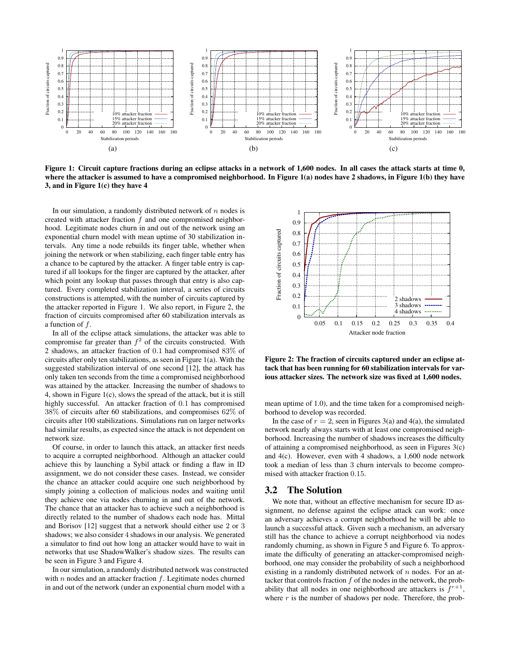

Figure 1: Circuit capture fractions during an eclipse attacks in a network of 1,600 nodes. In all cases the attack starts at time 0, where the attacker is assumed to have a compromised neighborhood. In Figure 1(a) nodes have 2 shadows, in Figure 1(b) they have 3, and in Figure 1(c) they have 4

In our simulation, a randomly distributed network of  $n$  nodes is created with attacker fraction f and one compromised neighborhood. Legitimate nodes churn in and out of the network using an exponential churn model with mean uptime of 30 stabilization intervals. Any time a node rebuilds its finger table, whether when joining the network or when stabilizing, each finger table entry has a chance to be captured by the attacker. A finger table entry is captured if all lookups for the finger are captured by the attacker, after which point any lookup that passes through that entry is also captured. Every completed stabilization interval, a series of circuits constructions is attempted, with the number of circuits captured by the attacker reported in Figure 1. We also report, in Figure 2, the fraction of circuits compromised after 60 stabilization intervals as a function of f.

In all of the eclipse attack simulations, the attacker was able to compromise far greater than  $f^2$  of the circuits constructed. With 2 shadows, an attacker fraction of 0.1 had compromised 83% of circuits after only ten stabilizations, as seen in Figure 1(a). With the suggested stabilization interval of one second [12], the attack has only taken ten seconds from the time a compromised neighborhood was attained by the attacker. Increasing the number of shadows to 4, shown in Figure 1(c), slows the spread of the attack, but it is still highly successful. An attacker fraction of 0.1 has compromised 38% of circuits after 60 stabilizations, and compromises 62% of circuits after 100 stabilizations. Simulations run on larger networks had similar results, as expected since the attack is not dependent on network size.

Of course, in order to launch this attack, an attacker first needs to acquire a corrupted neighborhood. Although an attacker could achieve this by launching a Sybil attack or finding a flaw in ID assignment, we do not consider these cases. Instead, we consider the chance an attacker could acquire one such neighborhood by simply joining a collection of malicious nodes and waiting until they achieve one via nodes churning in and out of the network. The chance that an attacker has to achieve such a neighborhood is directly related to the number of shadows each node has. Mittal and Borisov [12] suggest that a network should either use 2 or 3 shadows; we also consider 4 shadows in our analysis. We generated a simulator to find out how long an attacker would have to wait in networks that use ShadowWalker's shadow sizes. The results can be seen in Figure 3 and Figure 4.

In our simulation, a randomly distributed network was constructed with  $n$  nodes and an attacker fraction  $f$ . Legitimate nodes churned in and out of the network (under an exponential churn model with a



Figure 2: The fraction of circuits captured under an eclipse attack that has been running for 60 stabilization intervals for various attacker sizes. The network size was fixed at 1,600 nodes.

mean uptime of 1.0), and the time taken for a compromised neighborhood to develop was recorded.

In the case of  $r = 2$ , seen in Figures 3(a) and 4(a), the simulated network nearly always starts with at least one compromised neighborhood. Increasing the number of shadows increases the difficulty of attaining a compromised neighborhood, as seen in Figures 3(c) and 4(c). However, even with 4 shadows, a 1,600 node network took a median of less than 3 churn intervals to become compromised with attacker fraction 0.15.

#### 3.2 The Solution

We note that, without an effective mechanism for secure ID assignment, no defense against the eclipse attack can work: once an adversary achieves a corrupt neighborhood he will be able to launch a successful attack. Given such a mechanism, an adversary still has the chance to achieve a corrupt neighborhood via nodes randomly churning, as shown in Figure 5 and Figure 6. To approximate the difficulty of generating an attacker-compromised neighborhood, one may consider the probability of such a neighborhood existing in a randomly distributed network of  $n$  nodes. For an attacker that controls fraction  $f$  of the nodes in the network, the probability that all nodes in one neighborhood are attackers is  $f^{r+1}$ , where  $r$  is the number of shadows per node. Therefore, the prob-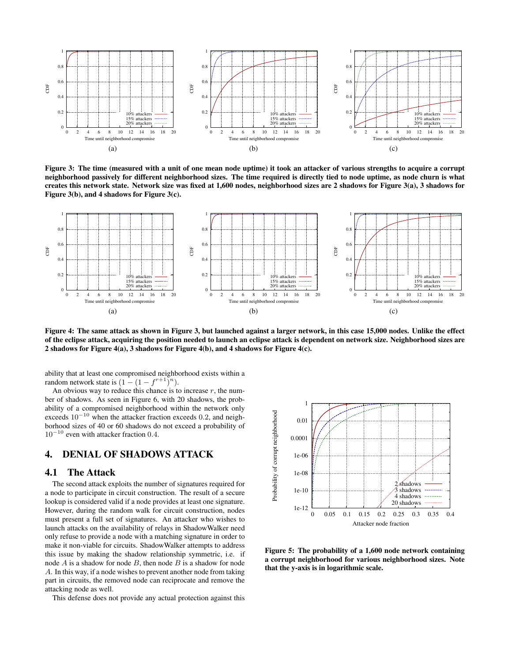

Figure 3: The time (measured with a unit of one mean node uptime) it took an attacker of various strengths to acquire a corrupt neighborhood passively for different neighborhood sizes. The time required is directly tied to node uptime, as node churn is what creates this network state. Network size was fixed at 1,600 nodes, neighborhood sizes are 2 shadows for Figure 3(a), 3 shadows for Figure 3(b), and 4 shadows for Figure 3(c).



Figure 4: The same attack as shown in Figure 3, but launched against a larger network, in this case 15,000 nodes. Unlike the effect of the eclipse attack, acquiring the position needed to launch an eclipse attack is dependent on network size. Neighborhood sizes are 2 shadows for Figure 4(a), 3 shadows for Figure 4(b), and 4 shadows for Figure 4(c).

ability that at least one compromised neighborhood exists within a random network state is  $(1 - (1 - f^{r+1})^n)$ .

An obvious way to reduce this chance is to increase  $r$ , the number of shadows. As seen in Figure 6, with 20 shadows, the probability of a compromised neighborhood within the network only exceeds  $10^{-10}$  when the attacker fraction exceeds 0.2, and neighborhood sizes of 40 or 60 shadows do not exceed a probability of 10<sup>−</sup><sup>10</sup> even with attacker fraction 0.4.

# 4. DENIAL OF SHADOWS ATTACK

#### 4.1 The Attack

The second attack exploits the number of signatures required for a node to participate in circuit construction. The result of a secure lookup is considered valid if a node provides at least one signature. However, during the random walk for circuit construction, nodes must present a full set of signatures. An attacker who wishes to launch attacks on the availability of relays in ShadowWalker need only refuse to provide a node with a matching signature in order to make it non-viable for circuits. ShadowWalker attempts to address this issue by making the shadow relationship symmetric, i.e. if node  $A$  is a shadow for node  $B$ , then node  $B$  is a shadow for node A. In this way, if a node wishes to prevent another node from taking part in circuits, the removed node can reciprocate and remove the attacking node as well.

This defense does not provide any actual protection against this



Figure 5: The probability of a 1,600 node network containing a corrupt neighborhood for various neighborhood sizes. Note that the y-axis is in logarithmic scale.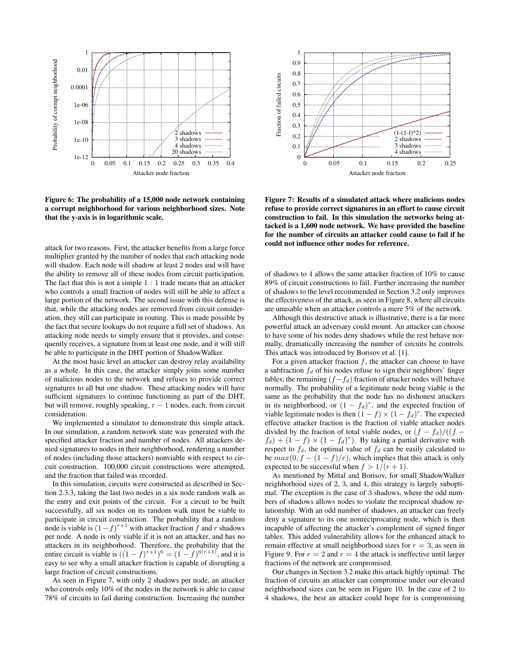

Figure 6: The probability of a 15,000 node network containing a corrupt neighborhood for various neighborhood sizes. Note that the y-axis is in logarithmic scale.

attack for two reasons. First, the attacker benefits from a large force multiplier granted by the number of nodes that each attacking node will shadow. Each node will shadow at least 2 nodes and will have the ability to remove all of these nodes from circuit participation. The fact that this is not a simple  $1:1$  trade means that an attacker who controls a small fraction of nodes will still be able to affect a large portion of the network. The second issue with this defense is that, while the attacking nodes are removed from circuit consideration, they still can participate in routing. This is made possible by the fact that secure lookups do not require a full set of shadows. An attacking node needs to simply ensure that it provides, and consequently receives, a signature from at least one node, and it will still be able to participate in the DHT portion of ShadowWalker.

At the most basic level an attacker can destroy relay availability as a whole. In this case, the attacker simply joins some number of malicious nodes to the network and refuses to provide correct signatures to all but one shadow. These attacking nodes will have sufficient signatures to continue functioning as part of the DHT, but will remove, roughly speaking,  $r - 1$  nodes, each, from circuit consideration.

We implemented a simulator to demonstrate this simple attack. In our simulation, a random network state was generated with the specified attacker fraction and number of nodes. All attackers denied signatures to nodes in their neighborhood, rendering a number of nodes (including those attackers) nonviable with respect to circuit construction. 100,000 circuit constructions were attempted, and the fraction that failed was recorded.

In this simulation, circuits were constructed as described in Section 2.3.3, taking the last two nodes in a six node random walk as the entry and exit points of the circuit. For a circuit to be built successfully, all six nodes on its random walk must be viable to participate in circuit construction. The probability that a random node is viable is  $(1-f)^{r+1}$  with attacker fraction f and r shadows per node. A node is only viable if it is not an attacker, and has no attackers in its neighborhood. Therefore, the probability that the entire circuit is viable is  $((1-f)^{r+1})^6 = (1-f)^{6(r+1)}$ , and it is easy to see why a small attacker fraction is capable of disrupting a large fraction of circuit constructions.

As seen in Figure 7, with only 2 shadows per node, an attacker who controls only 10% of the nodes in the network is able to cause 78% of circuits to fail during construction. Increasing the number



Figure 7: Results of a simulated attack where malicious nodes refuse to provide correct signatures in an effort to cause circuit construction to fail. In this simulation the networks being attacked is a 1,600 node network. We have provided the baseline for the number of circuits an attacker could cause to fail if he could not influence other nodes for reference.

of shadows to 4 allows the same attacker fraction of 10% to cause 89% of circuit constructions to fail. Further increasing the number of shadows to the level recommended in Section 3.2 only improves the effectiveness of the attack, as seen in Figure 8, where all circuits are unusable when an attacker controls a mere 5% of the network.

Although this destructive attack is illustrative, there is a far more powerful attack an adversary could mount. An attacker can choose to have some of his nodes deny shadows while the rest behave normally, dramatically increasing the number of circuits he controls. This attack was introduced by Borisov et al. [1].

For a given attacker fraction  $f$ , the attacker can choose to have a subfraction  $f_d$  of his nodes refuse to sign their neighbors' finger tables; the remaining  $(f-f_d)$  fraction of attacker nodes will behave normally. The probability of a legitimate node being viable is the same as the probability that the node has no dishonest attackers in its neighborhood, or  $(1 - f_d)^r$ , and the expected fraction of viable legitimate nodes is then  $(1 - f) \times (1 - f_d)^r$ . The expected effective attacker fraction is the fraction of viable attacker nodes divided by the fraction of total viable nodes, or  $(f - f_d)/((f$  $f_d$ ) +  $(1 - f) \times (1 - f_d)^r$ ). By taking a partial derivative with respect to  $f_d$ , the optimal value of  $f_d$  can be easily calculated to be  $max(0, f - (1 - f)/r)$ , which implies that this attack is only expected to be successful when  $f > 1/(r + 1)$ .

As mentioned by Mittal and Borisov, for small ShadowWalker neighborhood sizes of 2, 3, and 4, this strategy is largely suboptimal. The exception is the case of 3 shadows, where the odd numbers of shadows allows nodes to violate the reciprocal shadow relationship. With an odd number of shadows, an attacker can freely deny a signature to its one nonreciprocating node, which is then incapable of affecting the attacker's complement of signed finger tables. This added vulnerability allows for the enhanced attack to remain effective at small neighborhood sizes for  $r = 3$ , as seen in Figure 9. For  $r = 2$  and  $r = 4$  the attack is ineffective until larger fractions of the network are compromised.

Our changes in Section 3.2 make this attack highly optimal. The fraction of circuits an attacker can compromise under our elevated neighborhood sizes can be seen in Figure 10. In the case of 2 to 4 shadows, the best an attacker could hope for is compromising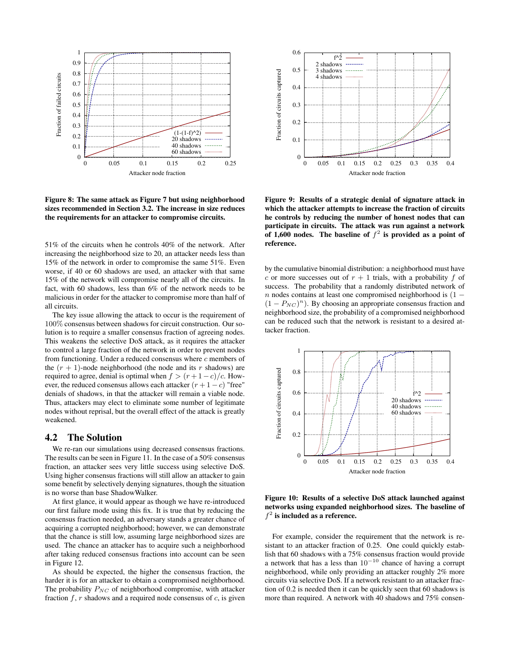

Figure 8: The same attack as Figure 7 but using neighborhood sizes recommended in Section 3.2. The increase in size reduces the requirements for an attacker to compromise circuits.

51% of the circuits when he controls 40% of the network. After increasing the neighborhood size to 20, an attacker needs less than 15% of the network in order to compromise the same 51%. Even worse, if 40 or 60 shadows are used, an attacker with that same 15% of the network will compromise nearly all of the circuits. In fact, with 60 shadows, less than 6% of the network needs to be malicious in order for the attacker to compromise more than half of all circuits.

The key issue allowing the attack to occur is the requirement of 100% consensus between shadows for circuit construction. Our solution is to require a smaller consensus fraction of agreeing nodes. This weakens the selective DoS attack, as it requires the attacker to control a large fraction of the network in order to prevent nodes from functioning. Under a reduced consensus where  $c$  members of the  $(r + 1)$ -node neighborhood (the node and its r shadows) are required to agree, denial is optimal when  $f > (r+1-c)/c$ . However, the reduced consensus allows each attacker  $(r + 1 - c)$  "free" denials of shadows, in that the attacker will remain a viable node. Thus, attackers may elect to eliminate some number of legitimate nodes without reprisal, but the overall effect of the attack is greatly weakened.

#### 4.2 The Solution

We re-ran our simulations using decreased consensus fractions. The results can be seen in Figure 11. In the case of a 50% consensus fraction, an attacker sees very little success using selective DoS. Using higher consensus fractions will still allow an attacker to gain some benefit by selectively denying signatures, though the situation is no worse than base ShadowWalker.

At first glance, it would appear as though we have re-introduced our first failure mode using this fix. It is true that by reducing the consensus fraction needed, an adversary stands a greater chance of acquiring a corrupted neighborhood; however, we can demonstrate that the chance is still low, assuming large neighborhood sizes are used. The chance an attacker has to acquire such a neighborhood after taking reduced consensus fractions into account can be seen in Figure 12.

As should be expected, the higher the consensus fraction, the harder it is for an attacker to obtain a compromised neighborhood. The probability  $P_{NC}$  of neighborhood compromise, with attacker fraction  $f, r$  shadows and a required node consensus of  $c$ , is given



Figure 9: Results of a strategic denial of signature attack in which the attacker attempts to increase the fraction of circuits he controls by reducing the number of honest nodes that can participate in circuits. The attack was run against a network of 1,600 nodes. The baseline of  $f^2$  is provided as a point of reference.

by the cumulative binomial distribution: a neighborhood must have c or more successes out of  $r + 1$  trials, with a probability f of success. The probability that a randomly distributed network of n nodes contains at least one compromised neighborhood is  $(1 (1 - P_{NC})^n$ ). By choosing an appropriate consensus fraction and neighborhood size, the probability of a compromised neighborhood can be reduced such that the network is resistant to a desired attacker fraction.



#### Figure 10: Results of a selective DoS attack launched against networks using expanded neighborhood sizes. The baseline of  $f<sup>2</sup>$  is included as a reference.

For example, consider the requirement that the network is resistant to an attacker fraction of 0.25. One could quickly establish that 60 shadows with a 75% consensus fraction would provide a network that has a less than  $10^{-10}$  chance of having a corrupt neighborhood, while only providing an attacker roughly 2% more circuits via selective DoS. If a network resistant to an attacker fraction of 0.2 is needed then it can be quickly seen that 60 shadows is more than required. A network with 40 shadows and 75% consen-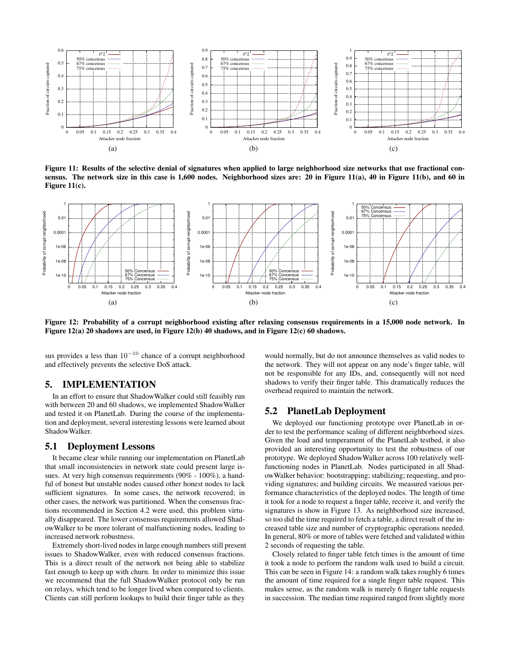

Figure 11: Results of the selective denial of signatures when applied to large neighborhood size networks that use fractional consensus. The network size in this case is 1,600 nodes. Neighborhood sizes are: 20 in Figure 11(a), 40 in Figure 11(b), and 60 in Figure 11(c).



Figure 12: Probability of a corrupt neighborhood existing after relaxing consensus requirements in a 15,000 node network. In Figure 12(a) 20 shadows are used, in Figure 12(b) 40 shadows, and in Figure 12(c) 60 shadows.

sus provides a less than  $10^{-10}$  chance of a corrupt neighborhood and effectively prevents the selective DoS attack.

## 5. IMPLEMENTATION

In an effort to ensure that ShadowWalker could still feasibly run with between 20 and 60 shadows, we implemented ShadowWalker and tested it on PlanetLab. During the course of the implementation and deployment, several interesting lessons were learned about ShadowWalker.

## 5.1 Deployment Lessons

It became clear while running our implementation on PlanetLab that small inconsistencies in network state could present large issues. At very high consensus requirements (90% - 100%), a handful of honest but unstable nodes caused other honest nodes to lack sufficient signatures. In some cases, the network recovered; in other cases, the network was partitioned. When the consensus fractions recommended in Section 4.2 were used, this problem virtually disappeared. The lower consensus requirements allowed ShadowWalker to be more tolerant of malfunctioning nodes, leading to increased network robustness.

Extremely short-lived nodes in large enough numbers still present issues to ShadowWalker, even with reduced consensus fractions. This is a direct result of the network not being able to stabilize fast enough to keep up with churn. In order to minimize this issue we recommend that the full ShadowWalker protocol only be run on relays, which tend to be longer lived when compared to clients. Clients can still perform lookups to build their finger table as they

would normally, but do not announce themselves as valid nodes to the network. They will not appear on any node's finger table, will not be responsible for any IDs, and, consequently will not need shadows to verify their finger table. This dramatically reduces the overhead required to maintain the network.

## 5.2 PlanetLab Deployment

We deployed our functioning prototype over PlanetLab in order to test the performance scaling of different neighborhood sizes. Given the load and temperament of the PlanetLab testbed, it also provided an interesting opportunity to test the robustness of our prototype. We deployed ShadowWalker across 100 relatively wellfunctioning nodes in PlanetLab. Nodes participated in all ShadowWalker behavior: bootstrapping; stabilizing; requesting, and providing signatures; and building circuits. We measured various performance characteristics of the deployed nodes. The length of time it took for a node to request a finger table, receive it, and verify the signatures is show in Figure 13. As neighborhood size increased, so too did the time required to fetch a table, a direct result of the increased table size and number of cryptographic operations needed. In general, 80% or more of tables were fetched and validated within 2 seconds of requesting the table.

Closely related to finger table fetch times is the amount of time it took a node to perform the random walk used to build a circuit. This can be seen in Figure 14: a random walk takes roughly 6 times the amount of time required for a single finger table request. This makes sense, as the random walk is merely 6 finger table requests in succession. The median time required ranged from slightly more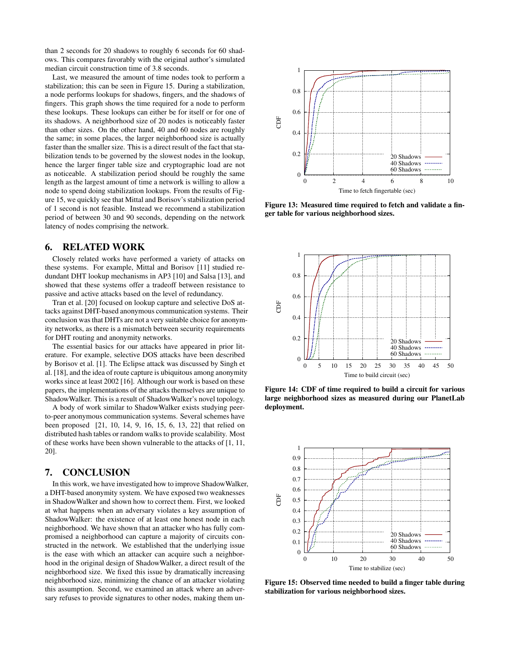than 2 seconds for 20 shadows to roughly 6 seconds for 60 shadows. This compares favorably with the original author's simulated median circuit construction time of 3.8 seconds.

Last, we measured the amount of time nodes took to perform a stabilization; this can be seen in Figure 15. During a stabilization, a node performs lookups for shadows, fingers, and the shadows of fingers. This graph shows the time required for a node to perform these lookups. These lookups can either be for itself or for one of its shadows. A neighborhood size of 20 nodes is noticeably faster than other sizes. On the other hand, 40 and 60 nodes are roughly the same; in some places, the larger neighborhood size is actually faster than the smaller size. This is a direct result of the fact that stabilization tends to be governed by the slowest nodes in the lookup, hence the larger finger table size and cryptographic load are not as noticeable. A stabilization period should be roughly the same length as the largest amount of time a network is willing to allow a node to spend doing stabilization lookups. From the results of Figure 15, we quickly see that Mittal and Borisov's stabilization period of 1 second is not feasible. Instead we recommend a stabilization period of between 30 and 90 seconds, depending on the network latency of nodes comprising the network.

# 6. RELATED WORK

Closely related works have performed a variety of attacks on these systems. For example, Mittal and Borisov [11] studied redundant DHT lookup mechanisms in AP3 [10] and Salsa [13], and showed that these systems offer a tradeoff between resistance to passive and active attacks based on the level of redundancy.

Tran et al. [20] focused on lookup capture and selective DoS attacks against DHT-based anonymous communication systems. Their conclusion was that DHTs are not a very suitable choice for anonymity networks, as there is a mismatch between security requirements for DHT routing and anonymity networks.

The essential basics for our attacks have appeared in prior literature. For example, selective DOS attacks have been described by Borisov et al. [1]. The Eclipse attack was discussed by Singh et al. [18], and the idea of route capture is ubiquitous among anonymity works since at least 2002 [16]. Although our work is based on these papers, the implementations of the attacks themselves are unique to ShadowWalker. This is a result of ShadowWalker's novel topology.

A body of work similar to ShadowWalker exists studying peerto-peer anonymous communication systems. Several schemes have been proposed [21, 10, 14, 9, 16, 15, 6, 13, 22] that relied on distributed hash tables or random walks to provide scalability. Most of these works have been shown vulnerable to the attacks of [1, 11, 20].

## 7. CONCLUSION

In this work, we have investigated how to improve ShadowWalker, a DHT-based anonymity system. We have exposed two weaknesses in ShadowWalker and shown how to correct them. First, we looked at what happens when an adversary violates a key assumption of ShadowWalker: the existence of at least one honest node in each neighborhood. We have shown that an attacker who has fully compromised a neighborhood can capture a majority of circuits constructed in the network. We established that the underlying issue is the ease with which an attacker can acquire such a neighborhood in the original design of ShadowWalker, a direct result of the neighborhood size. We fixed this issue by dramatically increasing neighborhood size, minimizing the chance of an attacker violating this assumption. Second, we examined an attack where an adversary refuses to provide signatures to other nodes, making them un-



Figure 13: Measured time required to fetch and validate a finger table for various neighborhood sizes.



Figure 14: CDF of time required to build a circuit for various large neighborhood sizes as measured during our PlanetLab deployment.



Figure 15: Observed time needed to build a finger table during stabilization for various neighborhood sizes.